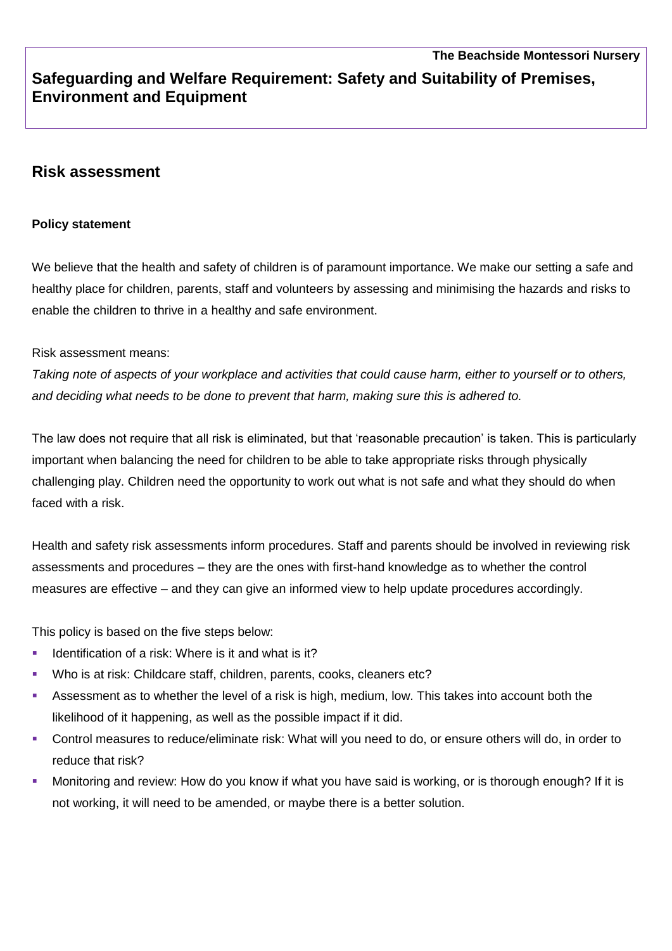# **Safeguarding and Welfare Requirement: Safety and Suitability of Premises, Environment and Equipment**

# **Risk assessment**

#### **Policy statement**

We believe that the health and safety of children is of paramount importance. We make our setting a safe and healthy place for children, parents, staff and volunteers by assessing and minimising the hazards and risks to enable the children to thrive in a healthy and safe environment.

#### Risk assessment means:

*Taking note of aspects of your workplace and activities that could cause harm, either to yourself or to others, and deciding what needs to be done to prevent that harm, making sure this is adhered to.* 

The law does not require that all risk is eliminated, but that 'reasonable precaution' is taken. This is particularly important when balancing the need for children to be able to take appropriate risks through physically challenging play. Children need the opportunity to work out what is not safe and what they should do when faced with a risk.

Health and safety risk assessments inform procedures. Staff and parents should be involved in reviewing risk assessments and procedures – they are the ones with first-hand knowledge as to whether the control measures are effective – and they can give an informed view to help update procedures accordingly.

This policy is based on the five steps below:

- Identification of a risk: Where is it and what is it?
- Who is at risk: Childcare staff, children, parents, cooks, cleaners etc?
- Assessment as to whether the level of a risk is high, medium, low. This takes into account both the likelihood of it happening, as well as the possible impact if it did.
- Control measures to reduce/eliminate risk: What will you need to do, or ensure others will do, in order to reduce that risk?
- **•** Monitoring and review: How do you know if what you have said is working, or is thorough enough? If it is not working, it will need to be amended, or maybe there is a better solution.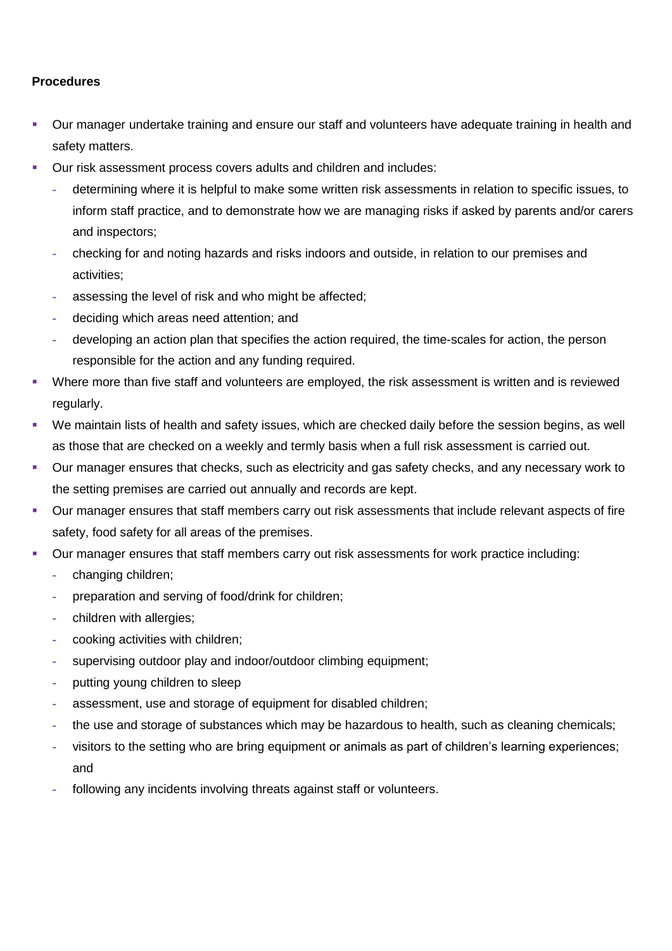## **Procedures**

- Our manager undertake training and ensure our staff and volunteers have adequate training in health and safety matters.
- Our risk assessment process covers adults and children and includes:
	- **-** determining where it is helpful to make some written risk assessments in relation to specific issues, to inform staff practice, and to demonstrate how we are managing risks if asked by parents and/or carers and inspectors;
	- **-** checking for and noting hazards and risks indoors and outside, in relation to our premises and activities;
	- **-** assessing the level of risk and who might be affected;
	- **-** deciding which areas need attention; and
	- **-** developing an action plan that specifies the action required, the time-scales for action, the person responsible for the action and any funding required.
- Where more than five staff and volunteers are employed, the risk assessment is written and is reviewed regularly.
- We maintain lists of health and safety issues, which are checked daily before the session begins, as well as those that are checked on a weekly and termly basis when a full risk assessment is carried out.
- Our manager ensures that checks, such as electricity and gas safety checks, and any necessary work to the setting premises are carried out annually and records are kept.
- Our manager ensures that staff members carry out risk assessments that include relevant aspects of fire safety, food safety for all areas of the premises.
- Our manager ensures that staff members carry out risk assessments for work practice including:
	- **-** changing children;
	- **-** preparation and serving of food/drink for children;
	- **-** children with allergies;
	- **-** cooking activities with children;
	- **-** supervising outdoor play and indoor/outdoor climbing equipment;
	- **-** putting young children to sleep
	- **-** assessment, use and storage of equipment for disabled children;
	- **-** the use and storage of substances which may be hazardous to health, such as cleaning chemicals;
	- **-** visitors to the setting who are bring equipment or animals as part of children's learning experiences; and
	- **-** following any incidents involving threats against staff or volunteers.